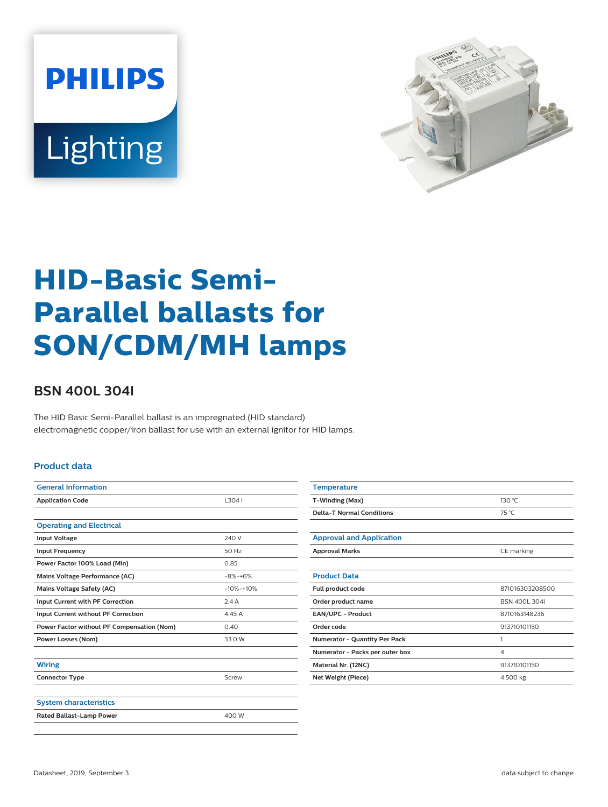



# **HID-Basic Semi-Parallel ballasts for SON/CDM/MH lamps**

## **BSN 400L 304I**

The HID Basic Semi-Parallel ballast is an impregnated (HID standard) electromagnetic copper/iron ballast for use with an external ignitor for HID lamps.

#### **Product data**

| 13041       |  |  |
|-------------|--|--|
|             |  |  |
|             |  |  |
| 240 V       |  |  |
| 50 Hz       |  |  |
| 0.85        |  |  |
| $-8% -+6%$  |  |  |
| $-10% -10%$ |  |  |
| 2.4A        |  |  |
| 4.45 A      |  |  |
| 0.40        |  |  |
| 33.0 W      |  |  |
|             |  |  |
|             |  |  |
| Screw       |  |  |
|             |  |  |
|             |  |  |
| 400 W       |  |  |
|             |  |  |

| <b>Temperature</b>                   |                 |
|--------------------------------------|-----------------|
| T-Winding (Max)                      | 130 °C          |
| <b>Delta-T Normal Conditions</b>     | 75 °C           |
|                                      |                 |
| <b>Approval and Application</b>      |                 |
| <b>Approval Marks</b>                | CE marking      |
|                                      |                 |
| <b>Product Data</b>                  |                 |
| Full product code                    | 871016303208500 |
| Order product name                   | BSN 400L 304L   |
| EAN/UPC - Product                    | 8710163148236   |
| Order code                           | 913710101150    |
| <b>Numerator - Quantity Per Pack</b> | 1               |
| Numerator - Packs per outer box      | 4               |
| Material Nr. (12NC)                  | 913710101150    |
| <b>Net Weight (Piece)</b>            | 4.500 kg        |
|                                      |                 |